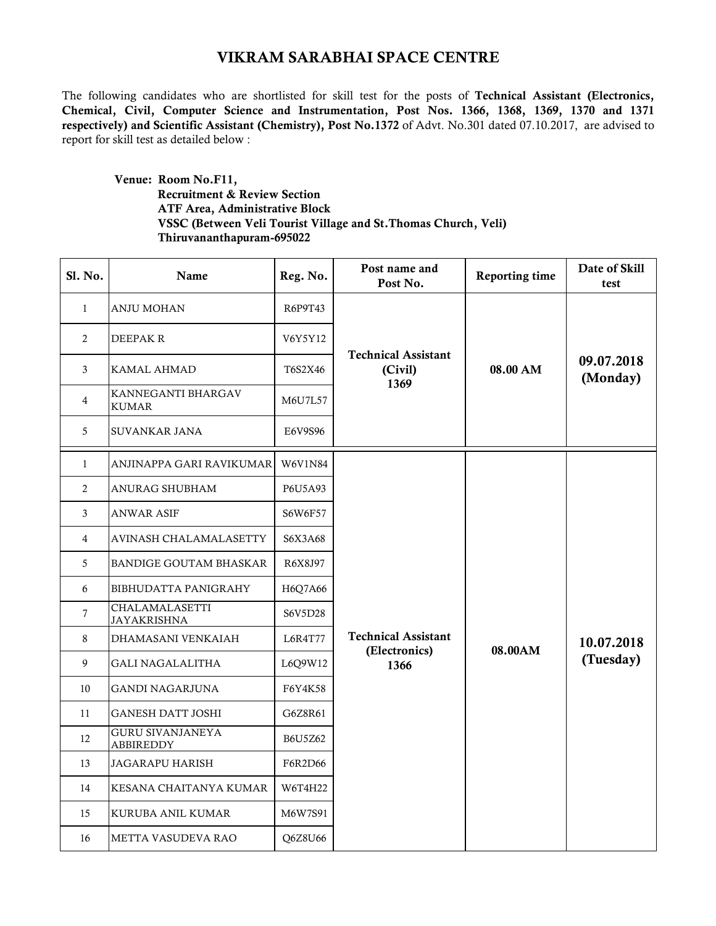## VIKRAM SARABHAI SPACE CENTRE

The following candidates who are shortlisted for skill test for the posts of Technical Assistant (Electronics, Chemical, Civil, Computer Science and Instrumentation, Post Nos. 1366, 1368, 1369, 1370 and 1371 respectively) and Scientific Assistant (Chemistry), Post No.1372 of Advt. No.301 dated 07.10.2017, are advised to report for skill test as detailed below :

 Venue: Room No.F11, Recruitment & Review Section ATF Area, Administrative Block VSSC (Between Veli Tourist Village and St.Thomas Church, Veli) Thiruvananthapuram-695022

| Sl. No.      | Name                                        | Reg. No.       | Post name and<br>Post No.                     | Reporting time | Date of Skill<br>test   |
|--------------|---------------------------------------------|----------------|-----------------------------------------------|----------------|-------------------------|
| $\mathbf{1}$ | ANJU MOHAN                                  | R6P9T43        | <b>Technical Assistant</b><br>(Civil)<br>1369 | 08.00 AM       | 09.07.2018<br>(Monday)  |
| 2            | DEEPAK R                                    | V6Y5Y12        |                                               |                |                         |
| 3            | KAMAL AHMAD                                 | T6S2X46        |                                               |                |                         |
| 4            | KANNEGANTI BHARGAV<br><b>KUMAR</b>          | M6U7L57        |                                               |                |                         |
| 5            | SUVANKAR JANA                               | E6V9S96        |                                               |                |                         |
| $\mathbf{1}$ | ANJINAPPA GARI RAVIKUMAR                    | <b>W6V1N84</b> |                                               | 08.00AM        | 10.07.2018<br>(Tuesday) |
| 2            | ANURAG SHUBHAM                              | P6U5A93        |                                               |                |                         |
| 3            | ANWAR ASIF                                  | S6W6F57        |                                               |                |                         |
| 4            | AVINASH CHALAMALASETTY                      | S6X3A68        |                                               |                |                         |
| 5            | <b>BANDIGE GOUTAM BHASKAR</b>               | R6X8J97        |                                               |                |                         |
| 6            | BIBHUDATTA PANIGRAHY                        | H6Q7A66        |                                               |                |                         |
| $\tau$       | CHALAMALASETTI<br><b>JAYAKRISHNA</b>        | S6V5D28        |                                               |                |                         |
| 8            | DHAMASANI VENKAIAH                          | L6R4T77        | <b>Technical Assistant</b>                    |                |                         |
| 9            | GALI NAGALALITHA                            | L6Q9W12        | (Electronics)<br>1366                         |                |                         |
| 10           | GANDI NAGARJUNA                             | F6Y4K58        |                                               |                |                         |
| 11           | <b>GANESH DATT JOSHI</b>                    | G6Z8R61        |                                               |                |                         |
| 12           | <b>GURU SIVANJANEYA</b><br><b>ABBIREDDY</b> | B6U5Z62        |                                               |                |                         |
| 13           | <b>JAGARAPU HARISH</b>                      | F6R2D66        |                                               |                |                         |
| 14           | KESANA CHAITANYA KUMAR                      | W6T4H22        |                                               |                |                         |
| 15           | KURUBA ANIL KUMAR                           | M6W7S91        |                                               |                |                         |
| 16           | METTA VASUDEVA RAO                          | Q6Z8U66        |                                               |                |                         |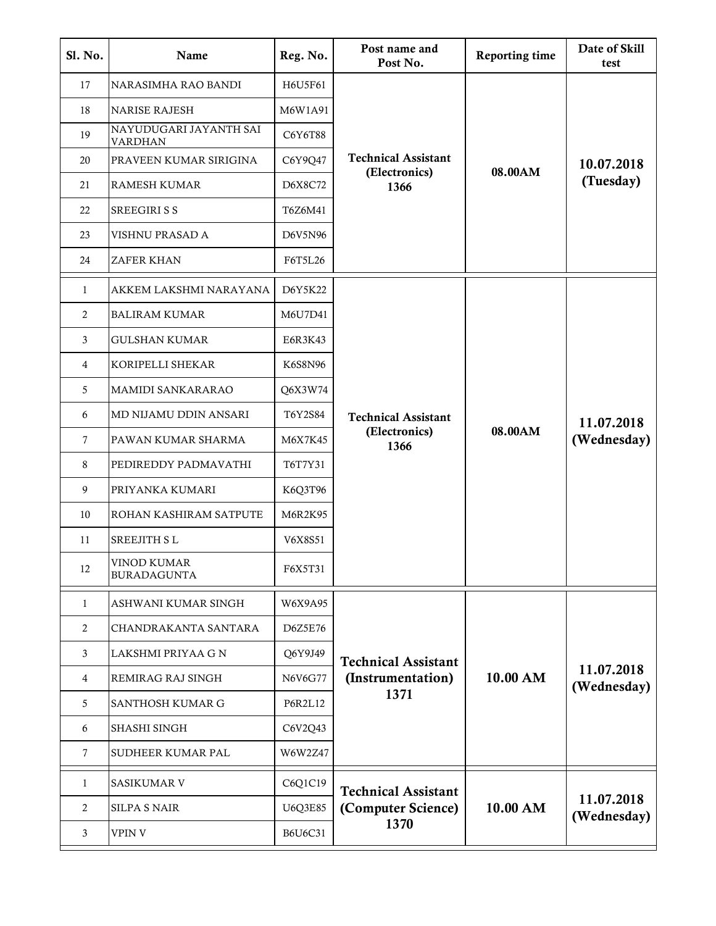| Sl. No.      | Name                                     | Reg. No.       | Post name and<br>Post No.                                | Reporting time | Date of Skill<br>test     |
|--------------|------------------------------------------|----------------|----------------------------------------------------------|----------------|---------------------------|
| 17           | NARASIMHA RAO BANDI                      | H6U5F61        | <b>Technical Assistant</b><br>(Electronics)<br>1366      | 08.00AM        | 10.07.2018<br>(Tuesday)   |
| 18           | <b>NARISE RAJESH</b>                     | M6W1A91        |                                                          |                |                           |
| 19           | NAYUDUGARI JAYANTH SAI<br><b>VARDHAN</b> | C6Y6T88        |                                                          |                |                           |
| 20           | PRAVEEN KUMAR SIRIGINA                   | C6Y9Q47        |                                                          |                |                           |
| 21           | RAMESH KUMAR                             | D6X8C72        |                                                          |                |                           |
| 22           | SREEGIRI S S                             | T6Z6M41        |                                                          |                |                           |
| 23           | VISHNU PRASAD A                          | D6V5N96        |                                                          |                |                           |
| 24           | <b>ZAFER KHAN</b>                        | F6T5L26        |                                                          |                |                           |
| $\mathbf{1}$ | AKKEM LAKSHMI NARAYANA                   | D6Y5K22        |                                                          | 08.00AM        | 11.07.2018<br>(Wednesday) |
| 2            | <b>BALIRAM KUMAR</b>                     | M6U7D41        |                                                          |                |                           |
| 3            | <b>GULSHAN KUMAR</b>                     | E6R3K43        |                                                          |                |                           |
| 4            | KORIPELLI SHEKAR                         | K6S8N96        |                                                          |                |                           |
| 5            | MAMIDI SANKARARAO                        | Q6X3W74        |                                                          |                |                           |
| 6            | MD NIJAMU DDIN ANSARI                    | T6Y2S84        | <b>Technical Assistant</b><br>(Electronics)<br>1366      |                |                           |
| $\tau$       | PAWAN KUMAR SHARMA                       | M6X7K45        |                                                          |                |                           |
| 8            | PEDIREDDY PADMAVATHI                     | T6T7Y31        |                                                          |                |                           |
| 9            | PRIYANKA KUMARI                          | K6Q3T96        |                                                          |                |                           |
| 10           | ROHAN KASHIRAM SATPUTE                   | M6R2K95        |                                                          |                |                           |
| 11           | SREEJITH SL                              | V6X8S51        |                                                          |                |                           |
| 12           | VINOD KUMAR<br><b>BURADAGUNTA</b>        | F6X5T31        |                                                          |                |                           |
| $\mathbf{1}$ | ASHWANI KUMAR SINGH                      | W6X9A95        |                                                          | 10.00 AM       | 11.07.2018<br>(Wednesday) |
| 2            | CHANDRAKANTA SANTARA                     | D6Z5E76        |                                                          |                |                           |
| 3            | LAKSHMI PRIYAA G N                       | Q6Y9J49        | <b>Technical Assistant</b><br>(Instrumentation)<br>1371  |                |                           |
| 4            | REMIRAG RAJ SINGH                        | N6V6G77        |                                                          |                |                           |
| 5            | SANTHOSH KUMAR G                         | <b>P6R2L12</b> |                                                          |                |                           |
| 6            | SHASHI SINGH                             | C6V2Q43        |                                                          |                |                           |
| $\tau$       | SUDHEER KUMAR PAL                        | W6W2Z47        |                                                          |                |                           |
| 1            | SASIKUMAR V                              | C6Q1C19        | <b>Technical Assistant</b><br>(Computer Science)<br>1370 | 10.00 AM       | 11.07.2018<br>(Wednesday) |
| 2            | <b>SILPA S NAIR</b>                      | U6Q3E85        |                                                          |                |                           |
| 3            | <b>VPIN V</b>                            | B6U6C31        |                                                          |                |                           |